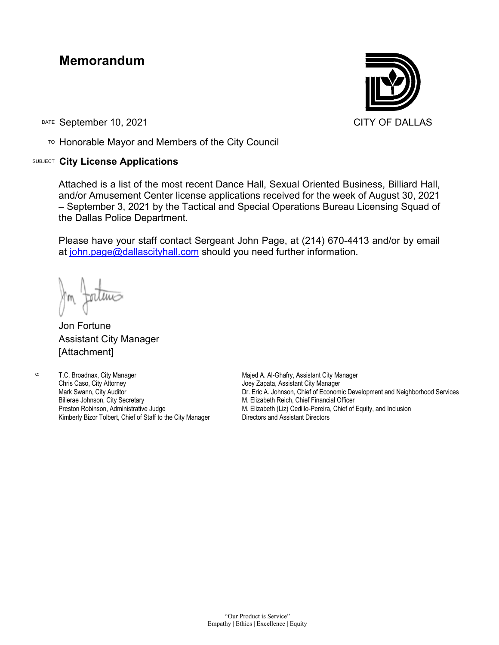## **Memorandum**

DATE September 10, 2021 CITY OF DALLAS

TO Honorable Mayor and Members of the City Council

## SUBJECT **City License Applications**



Attached is a list of the most recent Dance Hall, Sexual Oriented Business, Billiard Hall, and/or Amusement Center license applications received for the week of August 30, 2021 – September 3, 2021 by the Tactical and Special Operations Bureau Licensing Squad of the Dallas Police Department.

Please have your staff contact Sergeant John Page, at (214) 670-4413 and/or by email at [john.page@dallascityhall.com](mailto:john.page@dallascityhall.com) should you need further information.

Jon Fortune Assistant City Manager [Attachment]

c: T.C. Broadnax, City Manager Chris Caso, City Attorney Mark Swann, City Auditor Bilierae Johnson, City Secretary Preston Robinson, Administrative Judge Kimberly Bizor Tolbert, Chief of Staff to the City Manager

Majed A. Al-Ghafry, Assistant City Manager Joey Zapata, Assistant City Manager Dr. Eric A. Johnson, Chief of Economic Development and Neighborhood Services M. Elizabeth Reich, Chief Financial Officer M. Elizabeth (Liz) Cedillo-Pereira, Chief of Equity, and Inclusion Directors and Assistant Directors